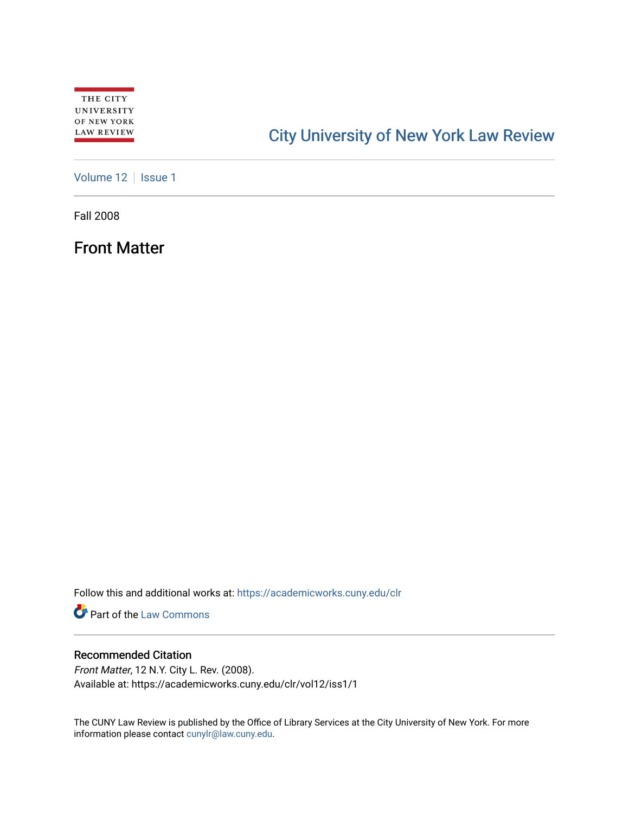# [City University of New York Law Review](https://academicworks.cuny.edu/clr)

[Volume 12](https://academicworks.cuny.edu/clr/vol12) | [Issue 1](https://academicworks.cuny.edu/clr/vol12/iss1)

Fall 2008

Front Matter

Follow this and additional works at: [https://academicworks.cuny.edu/clr](https://academicworks.cuny.edu/clr?utm_source=academicworks.cuny.edu%2Fclr%2Fvol12%2Fiss1%2F1&utm_medium=PDF&utm_campaign=PDFCoverPages) 

**Part of the [Law Commons](http://network.bepress.com/hgg/discipline/578?utm_source=academicworks.cuny.edu%2Fclr%2Fvol12%2Fiss1%2F1&utm_medium=PDF&utm_campaign=PDFCoverPages)** 

### Recommended Citation

Front Matter, 12 N.Y. City L. Rev. (2008). Available at: https://academicworks.cuny.edu/clr/vol12/iss1/1

The CUNY Law Review is published by the Office of Library Services at the City University of New York. For more information please contact [cunylr@law.cuny.edu](mailto:cunylr@law.cuny.edu).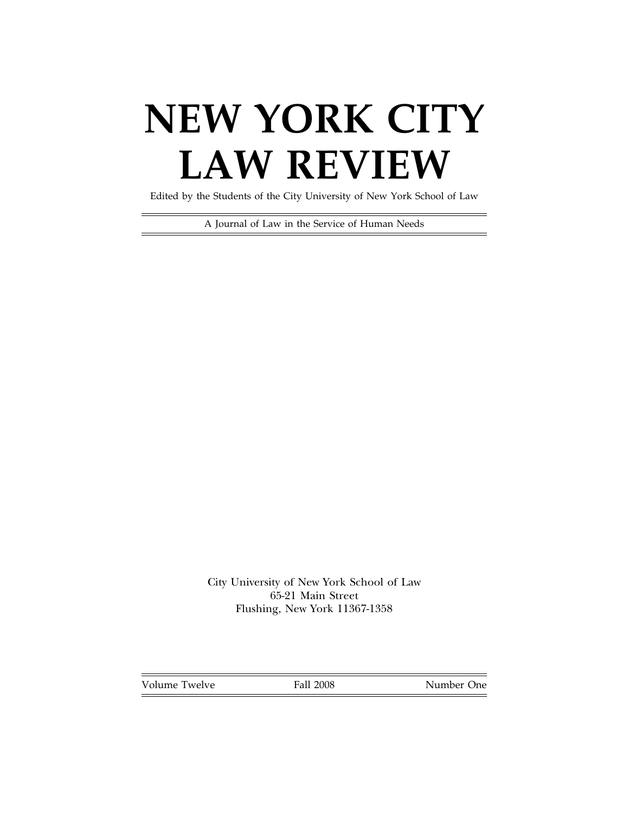# **NEW YORK CITY LAW REVIEW**

Edited by the Students of the City University of New York School of Law

A Journal of Law in the Service of Human Needs

City University of New York School of Law 65-21 Main Street Flushing, New York 11367-1358

Volume Twelve Fall 2008 Number One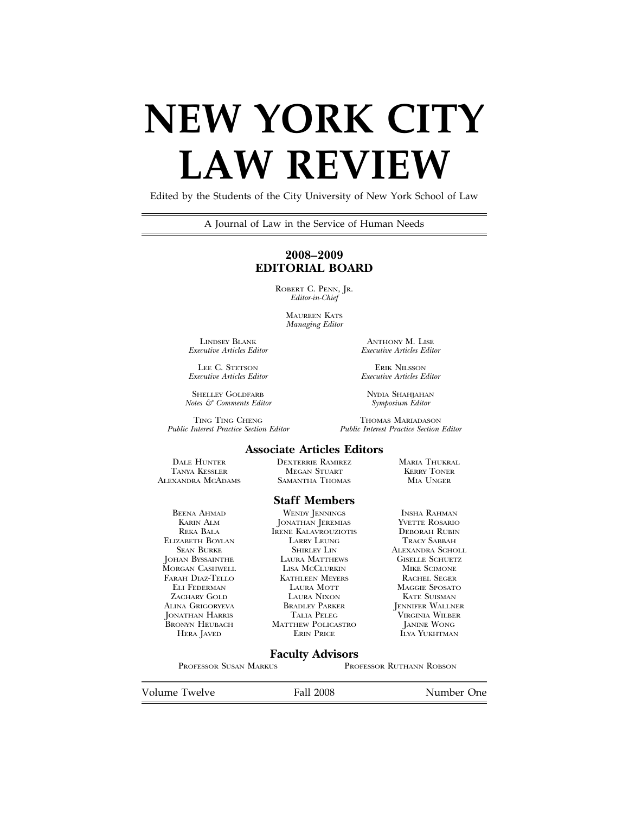# **NEW YORK CITY LAW REVIEW**

Edited by the Students of the City University of New York School of Law

A Journal of Law in the Service of Human Needs

#### **2008–2009 EDITORIAL BOARD**

ROBERT C. PENN, JR. *Editor-in-Chief*

> MAUREEN KATS *Managing Editor*

LINDSEY BLANK ANTHONY M. LISE Executive Articles Editor Executive Articles Edit

LEE C. STETSON EXECUTIVE RIK NILSSON<br>Executive Articles Editor Executive Articles E

*Notes & Comments Editor Symposium Editor*

TING TING CHENG THOMAS MARIADASON Public Interest Practice Section Editor Public Interest Practice Section

*Executive Articles Editor Executive Articles Editor*

*Executive Articles Editor Executive Articles Editor*

SHELLEY GOLDFARB NYDIA SHAHJAHAN

*Public Interest Practice Section Editor Public Interest Practice Section Editor*

#### **Associate Articles Editors**

ALEXANDRA MCADAMS

ELIZABETH BOYLAN LARRY LEUNG<br>SEAN BURKE SHIRLEY LIN

DALE HUNTER DEXTERRIE RAMIREZ MARIA THUKRAL TANYA KESSLER MEGAN STUART KERRY TONER

#### **Staff Members**

BEENA AHMAD WENDY JENNINGS INSHA RAHMAN KARIN ALM JONATHAN JEREMIAS YVETTE ROSARIO **IRENE KALAVROUZIOTIS DEBORAH RUBIN<br>LARRY LEUNG TRACY SABBAH** SEAN BURKE SHIRLEY LIN ALEXANDRA SCHOLL JOHAN BYSSAINTHE LAURA MATTHEWS GISELLE SCHUETZ MORGAN CASHWELL LISA MCCLURKIN MIKE SCIMONE FARAH DIAZ-TELLO KATHLEEN MEYERS RACHEL SEGER ELI FEDERMAN LAURA MOTT MAGGIE SPOSATO XACHARY GOLD LAURA NIXON<br>ALINA GRIGORYEVA BRADLEY PARKER JONATHAN HARRIS TALIA PELEG VIRGINIA WILBER BRONYN HEUBACH MATTHEW POLICASTRO HERA JAVED ERIN PRICE

ALINA GRIGORYEVA BRADLEY PARKER JENNIFER WALLNER **ILYA YUKHTMAN** 

#### **Faculty Advisors**

PROFESSOR SUSAN MARKUS PROFESSOR RUTHANN ROBSON

Volume Twelve **Fall 2008** Number One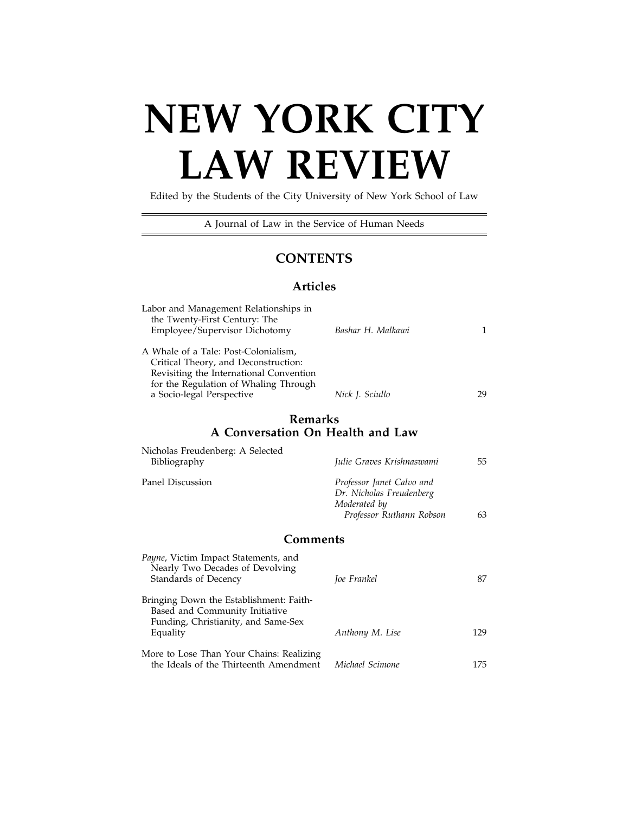# **NEW YORK CITY LAW REVIEW**

Edited by the Students of the City University of New York School of Law

A Journal of Law in the Service of Human Needs

÷,

## **CONTENTS**

### **Articles**

| Labor and Management Relationships in<br>the Twenty-First Century: The<br>Employee/Supervisor Dichotomy                                                                                       | Bashar H. Malkawi                                                                                 | 1   |
|-----------------------------------------------------------------------------------------------------------------------------------------------------------------------------------------------|---------------------------------------------------------------------------------------------------|-----|
| A Whale of a Tale: Post-Colonialism,<br>Critical Theory, and Deconstruction:<br>Revisiting the International Convention<br>for the Regulation of Whaling Through<br>a Socio-legal Perspective | Nick J. Sciullo                                                                                   | 29  |
| Remarks<br>A Conversation On Health and Law                                                                                                                                                   |                                                                                                   |     |
| Nicholas Freudenberg: A Selected                                                                                                                                                              |                                                                                                   |     |
| Bibliography                                                                                                                                                                                  | Julie Graves Krishnaswami                                                                         | 55  |
| Panel Discussion                                                                                                                                                                              | Professor Janet Calvo and<br>Dr. Nicholas Freudenberg<br>Moderated by<br>Professor Ruthann Robson | 63  |
| Comments                                                                                                                                                                                      |                                                                                                   |     |
| Payne, Victim Impact Statements, and<br>Nearly Two Decades of Devolving<br>Standards of Decency                                                                                               | Joe Frankel                                                                                       | 87  |
| Bringing Down the Establishment: Faith-<br>Based and Community Initiative<br>Funding, Christianity, and Same-Sex<br>Equality                                                                  | Anthony M. Lise                                                                                   | 129 |
|                                                                                                                                                                                               |                                                                                                   |     |
| More to Lose Than Your Chains: Realizing<br>the Ideals of the Thirteenth Amendment                                                                                                            | Michael Scimone                                                                                   | 175 |